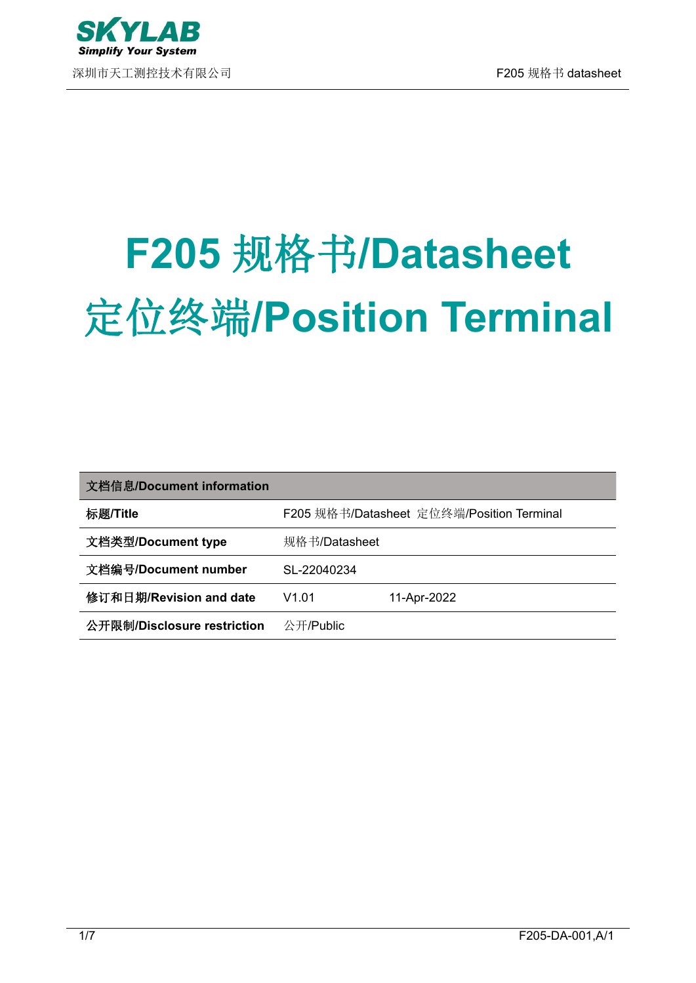

深圳市天工测控技术有限公司 F205 规格书 datasheet

# **F205** 规格书**/Datasheet** 定位终端**/Position Terminal**

| 文档信息/Document information   |               |                                           |
|-----------------------------|---------------|-------------------------------------------|
| 标题/Title                    |               | F205 规格书/Datasheet 定位终端/Position Terminal |
| 文档类型/Document type          | 规格书/Datasheet |                                           |
| 文档编号/Document number        | SL-22040234   |                                           |
| 修订和日期/Revision and date     | V1.01         | 11-Apr-2022                               |
| 公开限制/Disclosure restriction | 公开/Public     |                                           |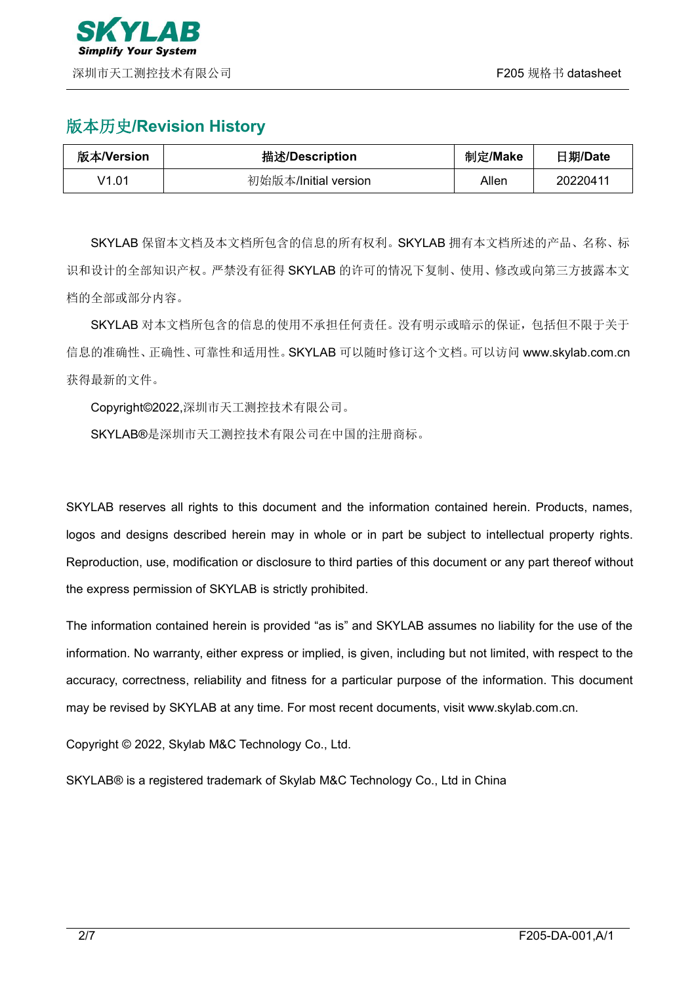

## 版本历史**/Revision History**

| 版本/Version | 描述/Description       | 制定/Make | 日期/Date  |
|------------|----------------------|---------|----------|
| V1.01      | 初始版本/Initial version | Allen   | 20220411 |

SKYLAB 保留本文档及本文档所包含的信息的所有权利。SKYLAB 拥有本文档所述的产品、名称、标 识和设计的全部知识产权。严禁没有征得 SKYLAB 的许可的情况下复制、使用、修改或向第三方披露本文 档的全部或部分内容。

SKYLAB 对本文档所包含的信息的使用不承担任何责任。没有明示或暗示的保证,包括但不限于关于 信息的准确性、正确性、可靠性和适用性。SKYLAB 可以随时修订这个文档。可以访问 [www.skylab.com.cn](http://www.skylab.com.cn) 获得最新的文件。

Copyright©2022,深圳市天工测控技术有限公司。

SKYLAB®是深圳市天工测控技术有限公司在中国的注册商标。

SKYLAB reserves all rights to this document and the information contained herein. Products, names, logos and designs described herein may in whole or in part be subject to intellectual property rights. Reproduction, use, modification or disclosure to third parties of this document or any part thereof without the express permission of SKYLAB is strictly prohibited.

The information contained herein is provided "as is" and SKYLAB assumes no liability for the use of the information. No warranty, either express or implied, is given, including but not limited, with respect to the accuracy, correctness, reliability and fitness for a particular purpose of the information. This document may be revised by SKYLAB at any time. For most recent documents, visit [www.skylab.com.cn.](http://www.skylab.com.cn.)

Copyright © 2022, Skylab M&C Technology Co., Ltd.

SKYLAB® is a registered trademark of Skylab M&C Technology Co., Ltd in China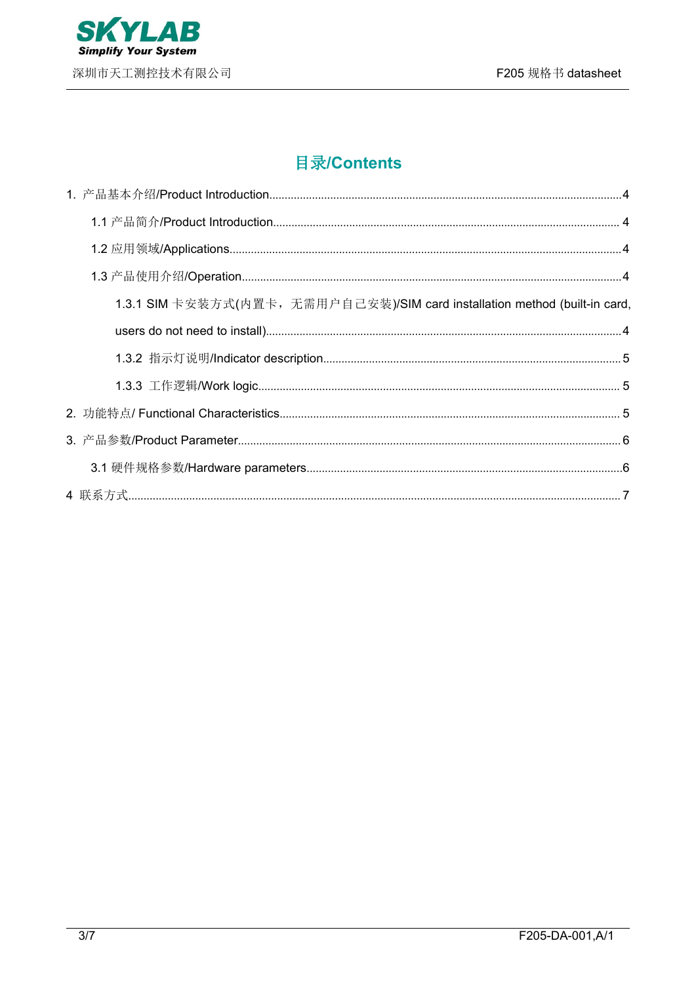

# **目录/Contents**

| 1.3.1 SIM 卡安装方式(内置卡, 无需用户自己安装)/SIM card installation method (built-in card, |  |
|-----------------------------------------------------------------------------|--|
|                                                                             |  |
|                                                                             |  |
|                                                                             |  |
|                                                                             |  |
|                                                                             |  |
|                                                                             |  |
|                                                                             |  |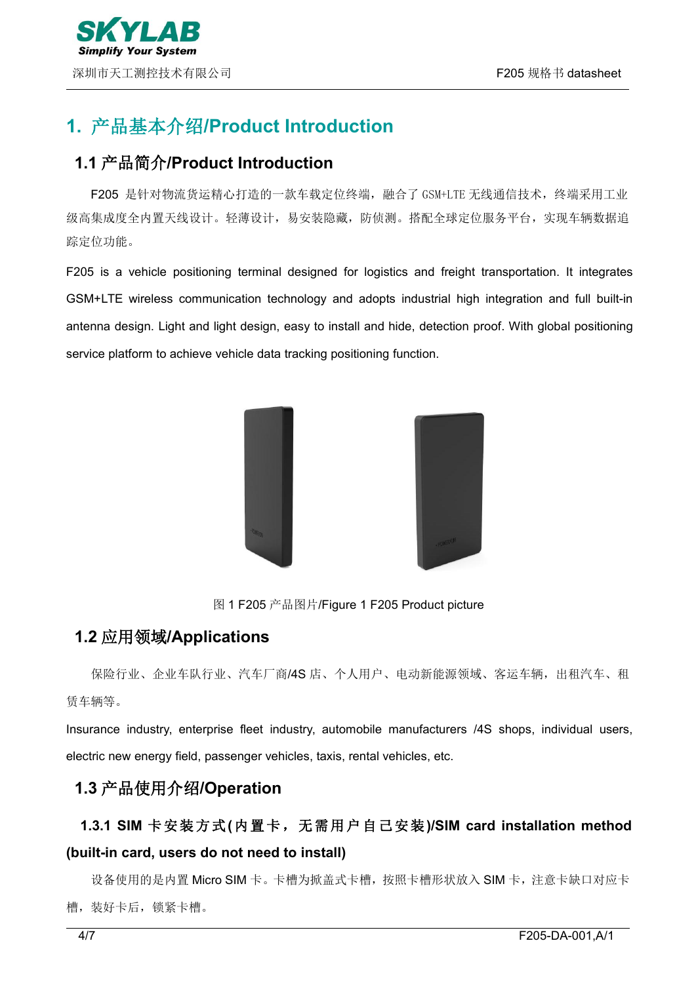# <span id="page-3-0"></span>**1.** 产品基本介绍**/Product Introduction**

## <span id="page-3-1"></span>**1.1** 产品简介**/Product Introduction**

F205 是针对物流货运精心打造的一款车载定位终端,融合了 GSM+LTE 无线通信技术,终端采用工业 级高集成度全内置天线设计。轻薄设计,易安装隐藏,防侦测。搭配全球定位服务平台,实现车辆数据追 踪定位功能。

F205 is a vehicle positioning terminal designed for logistics and freight transportation. It integrates GSM+LTE wireless communication technology and adopts industrial high integration and full built-in antenna design. Light and light design, easy to install and hide, detection proof. With global positioning service platform to achieve vehicle data tracking positioning function.



图 1 F205 产品图片/Figure 1 F205 Product picture

### <span id="page-3-2"></span>**1.2** 应用领域**/Applications**

保险行业、企业车队行业、汽车厂商/4S 店、个人用户、电动新能源领域、客运车辆,出租汽车、租 赁车辆等。

Insurance industry, enterprise fleet industry, automobile manufacturers /4S shops, individual users, electric new energy field, passenger vehicles, taxis, rental vehicles, etc.

## <span id="page-3-3"></span>**1.3** 产品使用介绍**/Operation**

# <span id="page-3-4"></span>**1.3.1 SIM** 卡安装方式**(**内置卡,无需用户自己安装**)/SIM card installation method (built-in card, users do not need to install)**

设备使用的是内置 Micro SIM 卡。卡槽为掀盖式卡槽,按照卡槽形状放入 SIM 卡, 注意卡缺口对应卡 槽,装好卡后,锁紧卡槽。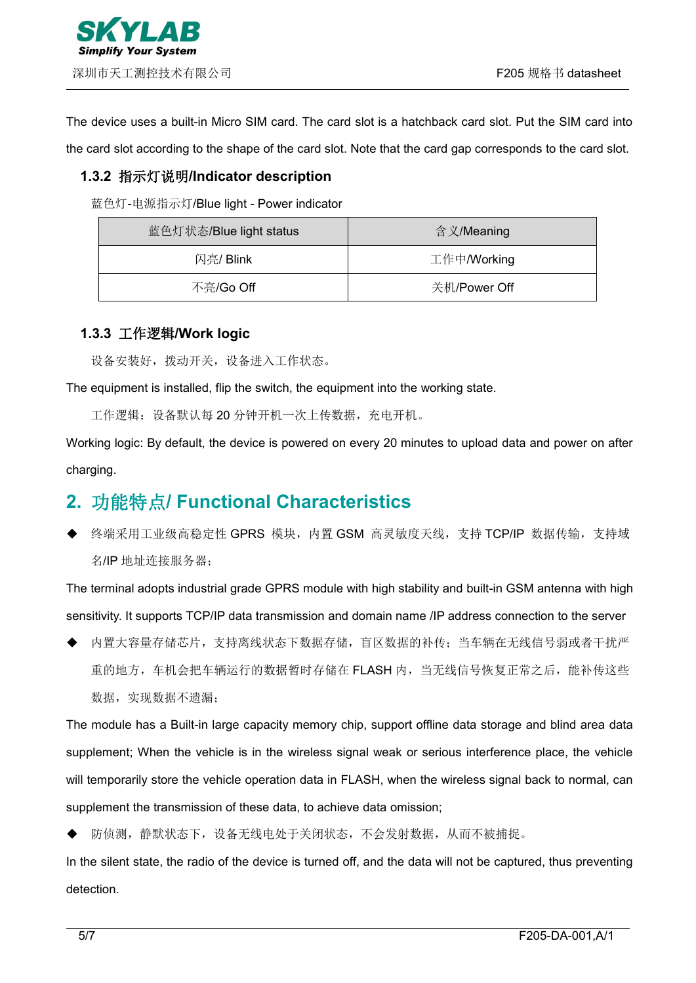The device uses a built-in Micro SIM card. The card slot is a hatchback card slot. Put the SIM card into the card slot according to the shape of the card slot. Note that the card gap corresponds to the card slot.

#### <span id="page-4-0"></span>**1.3.2** 指示灯说明**/Indicator description**

蓝色灯-电源指示灯/Blue light - Power indicator

| 蓝色灯状态/Blue light status | 含义/Meaning   |
|-------------------------|--------------|
| 闪亮/ Blink               | 工作中/Working  |
| 不亮/Go Off               | 关机/Power Off |

#### <span id="page-4-1"></span>**1.3.3** 工作逻辑**/Work logic**

设备安装好, 拨动开关, 设备进入工作状态。

The equipment is installed, flip the switch, the equipment into the working state.

工作逻辑: 设备默认每 20 分钟开机一次上传数据, 充电开机。

Working logic: By default, the device is powered on every 20 minutes to upload data and power on after charging.

## <span id="page-4-2"></span>**2.** 功能特点**/ Functional Characteristics**

终端采用工业级高稳定性 GPRS 模块, 内置 GSM 高灵敏度天线, 支持 TCP/IP 数据传输, 支持域 名/IP 地址连接服务器;

The terminal adopts industrial grade GPRS module with high stability and built-in GSM antenna with high sensitivity. It supports TCP/IP data transmission and domain name /IP address connection to the server

 内置大容量存储芯片,支持离线状态下数据存储,盲区数据的补传;当车辆在无线信号弱或者干扰严 重的地方,车机会把车辆运行的数据暂时存储在 FLASH 内,当无线信号恢复正常之后,能补传这些 数据,实现数据不遗漏;

The module has a Built-in large capacity memory chip, support offline data storage and blind area data supplement; When the vehicle is in the wireless signal weak or serious interference place, the vehicle will temporarily store the vehicle operation data in FLASH, when the wireless signal back to normal, can supplement the transmission of these data, to achieve data omission;

防侦测,静默状态下,设备无线电处于关闭状态,不会发射数据,从而不被捕捉。

In the silent state, the radio of the device is turned off, and the data will not be captured, thus preventing detection.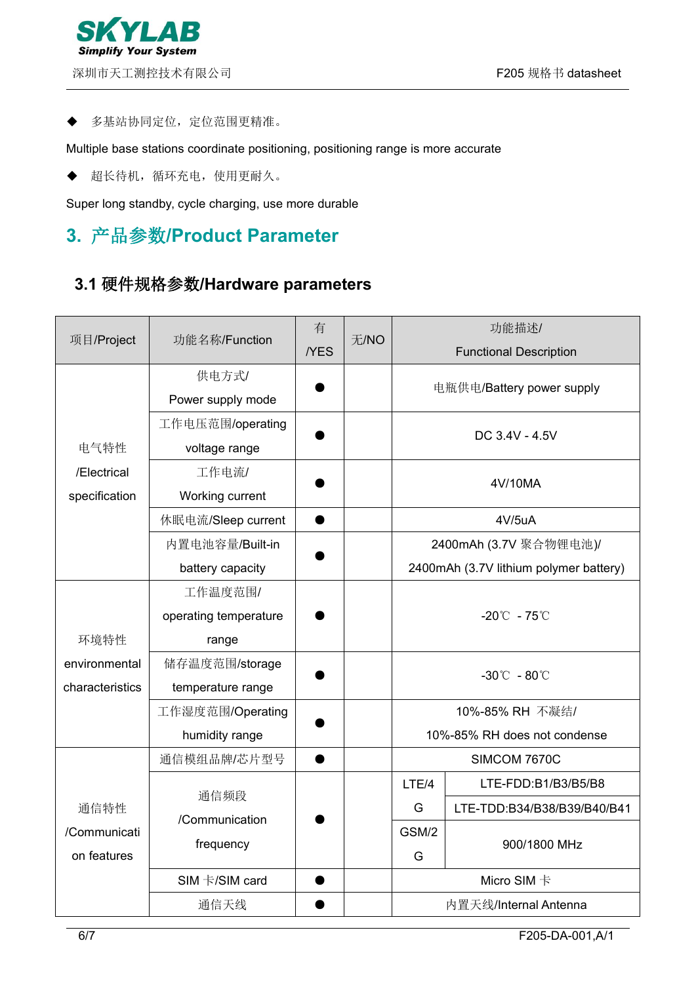#### 多基站协同定位,定位范围更精准。

Multiple base stations coordinate positioning, positioning range is more accurate

超长待机,循环充电,使用更耐久。

Super long standby, cycle charging, use more durable

# <span id="page-5-0"></span>**3.** 产品参数**/Product Parameter**

## <span id="page-5-1"></span>**3.1** 硬件规格参数**/Hardware parameters**

|                 |                       | 有          |      |       | 功能描述/                                  |  |
|-----------------|-----------------------|------------|------|-------|----------------------------------------|--|
| 项目/Project      | 功能名称/Function         | <b>YES</b> | 无/NO |       | <b>Functional Description</b>          |  |
|                 | 供电方式/                 |            |      |       |                                        |  |
|                 | Power supply mode     |            |      |       | 电瓶供电/Battery power supply              |  |
|                 | 工作电压范围/operating      |            |      |       | DC 3.4V - 4.5V                         |  |
| 电气特性            | voltage range         |            |      |       |                                        |  |
| /Electrical     | 工作电流/                 |            |      |       | 4V/10MA                                |  |
| specification   | Working current       |            |      |       |                                        |  |
|                 | 休眠电流/Sleep current    |            |      |       | 4V/5uA                                 |  |
|                 | 内置电池容量/Built-in       |            |      |       | 2400mAh (3.7V 聚合物锂电池)/                 |  |
|                 | battery capacity      |            |      |       | 2400mAh (3.7V lithium polymer battery) |  |
|                 | 工作温度范围/               |            |      |       |                                        |  |
|                 | operating temperature |            |      |       | $-20^{\circ}$ - 75 $^{\circ}$          |  |
| 环境特性            | range                 |            |      |       |                                        |  |
| environmental   | 储存温度范围/storage        |            |      |       | $-30^{\circ}$ C - 80 $^{\circ}$ C      |  |
| characteristics | temperature range     |            |      |       |                                        |  |
|                 | 工作湿度范围/Operating      |            |      |       | 10%-85% RH 不凝结/                        |  |
|                 | humidity range        |            |      |       | 10%-85% RH does not condense           |  |
|                 | 通信模组品牌/芯片型号           | $\bullet$  |      |       | SIMCOM 7670C                           |  |
|                 | 通信频段                  |            |      | LTE/4 | LTE-FDD:B1/B3/B5/B8                    |  |
| 通信特性            | /Communication        |            |      | G     | LTE-TDD:B34/B38/B39/B40/B41            |  |
| /Communicati    | frequency             |            |      | GSM/2 | 900/1800 MHz                           |  |
| on features     |                       |            |      | G     |                                        |  |
|                 | SIM 卡/SIM card        |            |      |       | Micro SIM 卡                            |  |
|                 | 通信天线                  |            |      |       | 内置天线/Internal Antenna                  |  |